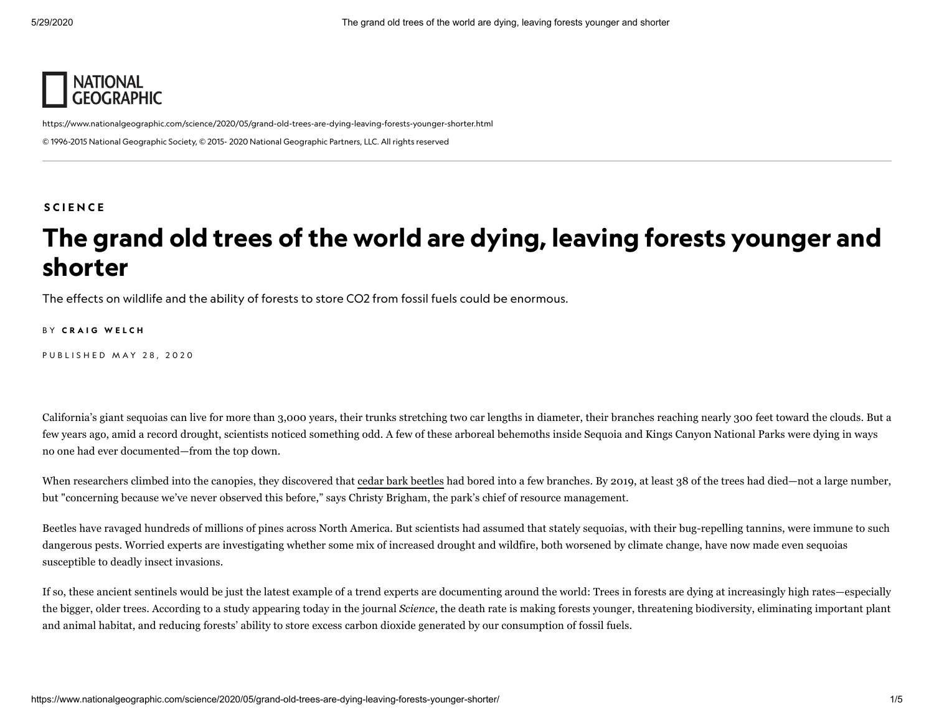

<https://www.nationalgeographic.com/science/2020/05/grand-old-trees-are-dying-leaving-forests-younger-shorter.html> © 1996-2015 National Geographic Society, © 2015- 2020 National Geographic Partners, LLC. All rights reserved

#### **SCIE[N](https://www.nationalgeographic.com/science)CE**

## The grand old trees of the world are dying, leaving forests younger and shorter

The effects on wildlife and the ability of forests to store CO2 from fossil fuels could be enormous.

BY CRAIG [W](https://www.nationalgeographic.com/contributors/w/craig-welch.html)ELCH

PUBLISHED MAY 28, 2020

California's giant sequoias can live for more than 3,000 years, their trunks stretching two car lengths in diameter, their branches reaching nearly 300 feet toward the clouds. But a few years ago, amid a record drought, scientists noticed something odd. A few of these arboreal behemoths inside Sequoia and Kings Canyon National Parks were dying in ways no one had ever documented—from the top down.

When researchers climbed into the canopies, they discovered that cedar bark [beetles](https://www.sciencedirect.com/science/article/abs/pii/S0378112717313282) had bored into a few branches. By 2019, at least 38 of the trees had died—not a large number, but "concerning because we've never observed this before," says Christy Brigham, the park's chief of resource management.

Beetles have ravaged hundreds of millions of pines across North America. But scientists had assumed that stately sequoias, with their bug-repelling tannins, were immune to such dangerous pests. Worried experts are investigating whether some mix of increased drought and wildfire, both worsened by climate change, have now made even sequoias susceptible to deadly insect invasions.

If so, these ancient sentinels would be just the latest example of a trend experts are documenting around the world: Trees in forests are dying at increasingly high rates—especially the bigger, older trees. According to a study appearing today in the journal *Science*, the death rate is making forests younger, threatening biodiversity, eliminating important plant and animal habitat, and reducing forests' ability to store excess carbon dioxide generated by our consumption of fossil fuels.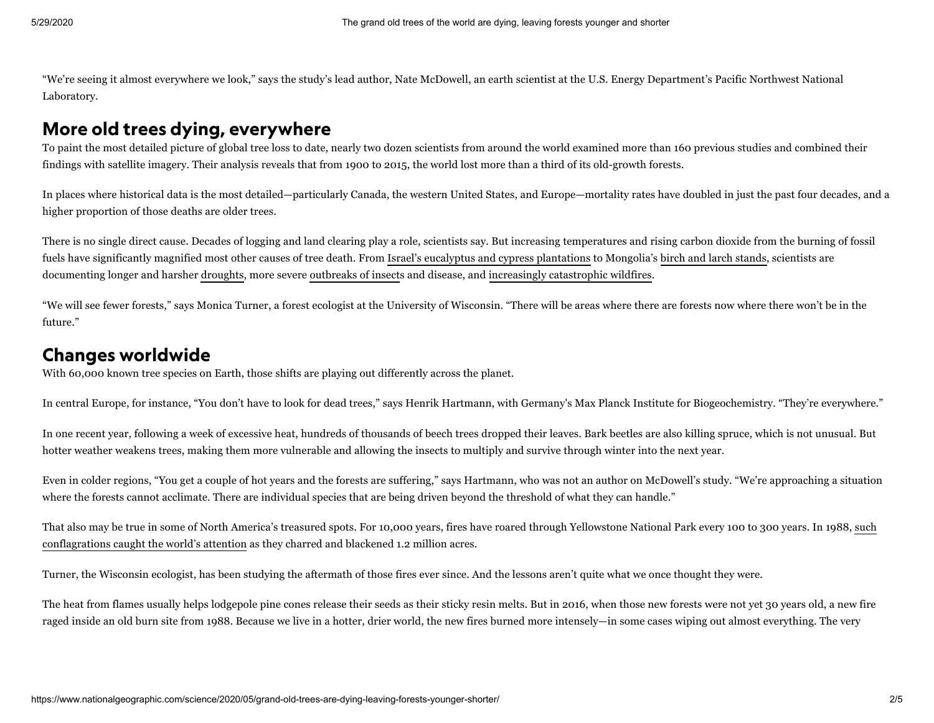"We're seeing it almost everywhere we look," says the study's lead author, Nate McDowell, an earth scientist at the U.S. Energy Department's Pacific Northwest National Laboratory.

### More old trees dying, everywhere

To paint the most detailed picture of global tree loss to date, nearly two dozen scientists from around the world examined more than 160 previous studies and combined their findings with satellite imagery. Their analysis reveals that from 1900 to 2015, the world lost more than a third of its old-growth forests.

In places where historical data is the most detailed—particularly Canada, the western United States, and Europe—mortality rates have doubled in just the past four decades, and a higher proportion of those deaths are older trees.

There is no single direct cause. Decades of logging and land clearing play a role, scientists say. But increasing temperatures and rising carbon dioxide from the burning of fossil fuels have significantly magnified most other causes of tree death. From Israel's eucalyptus and cypress [plantations](https://www.sciencedirect.com/science/article/abs/pii/S0378112718316037) to Mongolia's birch and larch [stands,](https://www.sciencedirect.com/science/article/abs/pii/S1146609X13001975) scientists are documenting longer and harsher [droughts,](https://www.sciencedirect.com/science/article/abs/pii/S037811270900615X) more severe [outbreaks](https://besjournals.onlinelibrary.wiley.com/doi/abs/10.1111/j.1365-2664.2010.01848.x@10.1111/(ISSN)1365-2664.CLIMATE_JPE) of insects and disease, and increasingly [catastrophic](https://www.pnas.org/content/113/42/11770.short) wildfires.

"We will see fewer forests," says Monica Turner, a forest ecologist at the University of Wisconsin. "There will be areas where there are forests now where there won't be in the future."

#### Changes worldwide

With 60,000 known tree species on Earth, those shifts are playing out differently across the planet.

In central Europe, for instance, "You don't have to look for dead trees," says Henrik Hartmann, with Germany's Max Planck Institute for Biogeochemistry. "They're everywhere."

In one recent year, following a week of excessive heat, hundreds of thousands of beech trees dropped their leaves. Bark beetles are also killing spruce, which is not unusual. But hotter weather weakens trees, making them more vulnerable and allowing the insects to multiply and survive through winter into the next year.

Even in colder regions, "You get a couple of hot years and the forests are suffering," says Hartmann, who was not an author on McDowell's study. "We're approaching a situation where the forests cannot acclimate. There are individual species that are being driven beyond the threshold of what they can handle."

That also may be true in some of North America's treasured spots. For 10,000 years, fires have roared through Yellowstone National Park every 100 to 300 years. In 1988, such [conflagrations](https://www.nps.gov/yell/learn/nature/1988-fires.htm) caught the world's attention as they charred and blackened 1.2 million acres.

Turner, the Wisconsin ecologist, has been studying the aftermath of those fires ever since. And the lessons aren't quite what we once thought they were.

The heat from flames usually helps lodgepole pine cones release their seeds as their sticky resin melts. But in 2016, when those new forests were not yet 30 years old, a new fire raged inside an old burn site from 1988. Because we live in a hotter, drier world, the new fires burned more intensely—in some cases wiping out almost everything. The very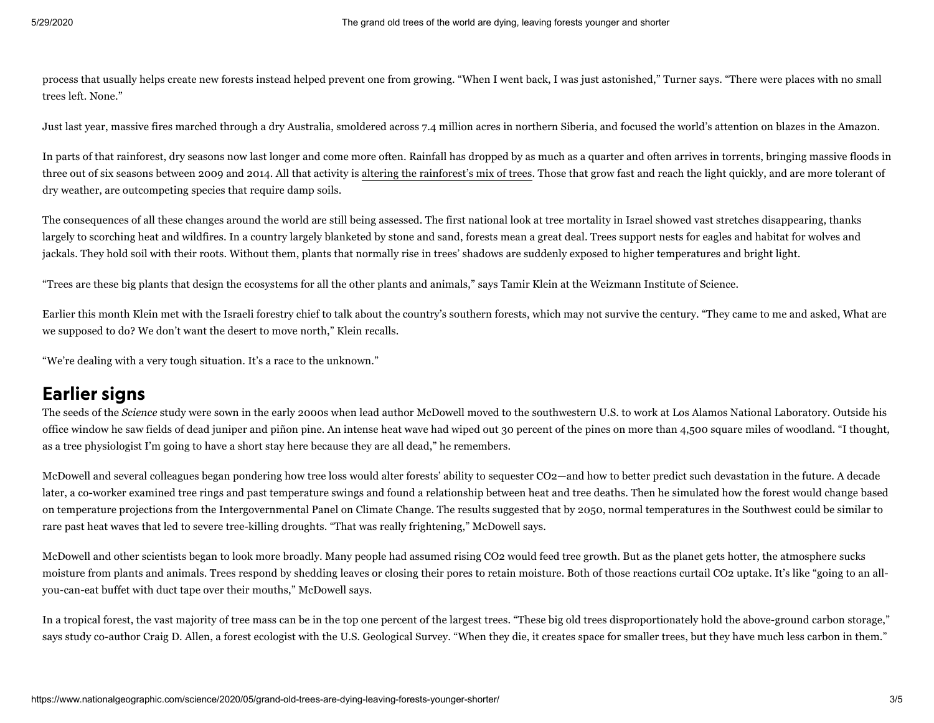process that usually helps create new forests instead helped prevent one from growing. "When I went back, I was just astonished," Turner says. "There were places with no small trees left. None."

Just last year, massive fires marched through a dry Australia, smoldered across 7.4 million acres in northern Siberia, and focused the world's attention on blazes in the Amazon.

In parts of that rainforest, dry seasons now last longer and come more often. Rainfall has dropped by as much as a quarter and often arrives in torrents, bringing massive floods in three out of six seasons between 2009 and 2014. All that activity is altering the [rainforest's](https://onlinelibrary.wiley.com/doi/full/10.1111/gcb.14413) mix of trees. Those that grow fast and reach the light quickly, and are more tolerant of dry weather, are outcompeting species that require damp soils.

The consequences of all these changes around the world are still being assessed. The first national look at tree mortality in Israel showed vast stretches disappearing, thanks largely to scorching heat and wildfires. In a country largely blanketed by stone and sand, forests mean a great deal. Trees support nests for eagles and habitat for wolves and jackals. They hold soil with their roots. Without them, plants that normally rise in trees' shadows are suddenly exposed to higher temperatures and bright light.

"Trees are these big plants that design the ecosystems for all the other plants and animals," says Tamir Klein at the Weizmann Institute of Science.

Earlier this month Klein met with the Israeli forestry chief to talk about the country's southern forests, which may not survive the century. "They came to me and asked, What are we supposed to do? We don't want the desert to move north," Klein recalls.

"We're dealing with a very tough situation. It's a race to the unknown."

#### Earlier signs

The seeds of the *Science* study were sown in the early 2000s when lead author McDowell moved to the southwestern U.S. to work at Los Alamos National Laboratory. Outside his office window he saw fields of dead juniper and piñon pine. An intense heat wave had wiped out 30 percent of the pines on more than 4,500 square miles of woodland. "I thought, as a tree physiologist I'm going to have a short stay here because they are all dead," he remembers.

McDowell and several colleagues began pondering how tree loss would alter forests' ability to sequester CO2—and how to better predict such devastation in the future. A decade later, a co-worker examined tree rings and past temperature swings and found a relationship between heat and tree deaths. Then he simulated how the forest would change based on temperature projections from the Intergovernmental Panel on Climate Change. The results suggested that by 2050, normal temperatures in the Southwest could be similar to rare past heat waves that led to severe tree-killing droughts. "That was really frightening," McDowell says.

McDowell and other scientists began to look more broadly. Many people had assumed rising CO2 would feed tree growth. But as the planet gets hotter, the atmosphere sucks moisture from plants and animals. Trees respond by shedding leaves or closing their pores to retain moisture. Both of those reactions curtail CO2 uptake. It's like "going to an allyou-can-eat buffet with duct tape over their mouths," McDowell says.

In a tropical forest, the vast majority of tree mass can be in the top one percent of the largest trees. "These big old trees disproportionately hold the above-ground carbon storage," says study co-author Craig D. Allen, a forest ecologist with the U.S. Geological Survey. "When they die, it creates space for smaller trees, but they have much less carbon in them."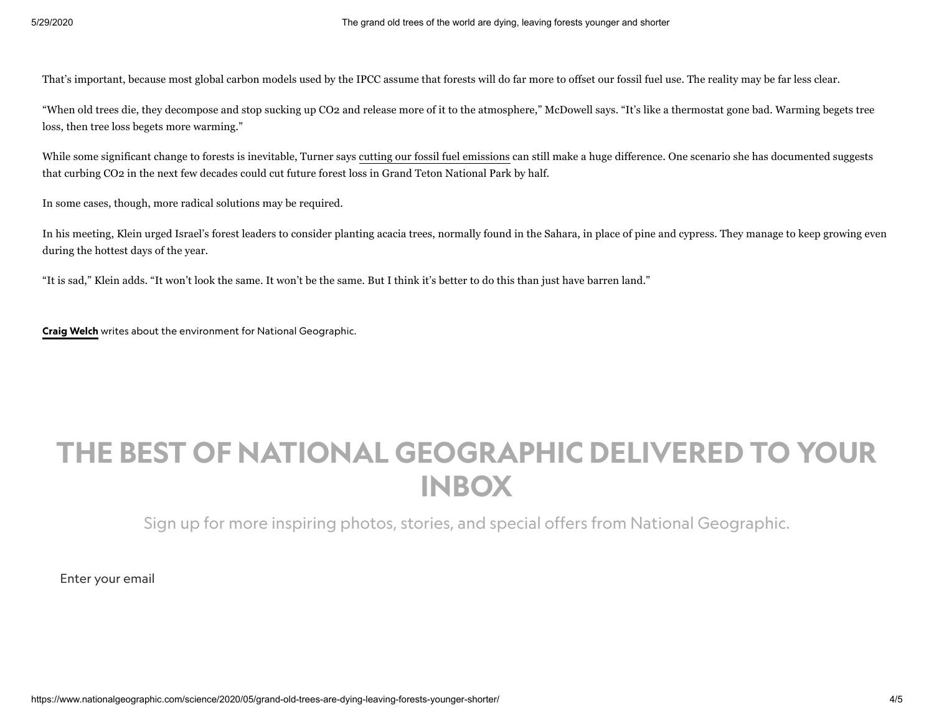That's important, because most global carbon models used by the IPCC assume that forests will do far more to offset our fossil fuel use. The reality may be far less clear.

"When old trees die, they decompose and stop sucking up CO2 and release more of it to the atmosphere," McDowell says. "It's like a thermostat gone bad. Warming begets tree loss, then tree loss begets more warming."

While some significant change to forests is inevitable, Turner says cutting our fossil fuel [emissions](https://www.nationalgeographic.com/science/2020/04/coronavirus-causing-carbon-emissions-to-fall-but-not-for-long/) can still make a huge difference. One scenario she has documented suggests that curbing CO2 in the next few decades could cut future forest loss in Grand Teton National Park by half.

In some cases, though, more radical solutions may be required.

In his meeting, Klein urged Israel's forest leaders to consider planting acacia trees, normally found in the Sahara, in place of pine and cypress. They manage to keep growing even during the hottest days of the year.

"It is sad," Klein adds. "It won't look the same. It won't be the same. But I think it's better to do this than just have barren land."

Craig [Welch](http://nationalgeographic.com/contributors/w/craig-welch) writes about the environment for National Geographic.

# THE BEST OF NATIONAL GEOGRAPHIC DELIVERED TO YOUR INBOX

Sign up for more inspiring photos, stories, and special offers from National Geographic.

Enter your email